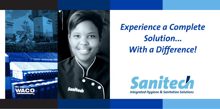

# *Experience a Complete Solution... With a Difference!*

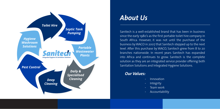

## *About Us*

Sanitech is a well-established brand that has been in business since the early 1980's as the first portable toilet hire company in South Africa. However, it was not until the purchase of the business by WACO in 2007 that Sanitech stepped up to the next level. After this purchase by WACO, Sanitech grew from 8 to 20 branches nationwide. In recent years Sanitech has expanded into Africa and continues to grow. Sanitech is the complete solution as they are an integrated service provider offering both Sanitation Solutions and Integrated Hygiene Solutions.

### *Our Values:*

- Innovation
- **Integrity**
- Team work
- **Accountability**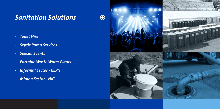$\bigcirc$ 

- *Toilet Hire*
- *Septic Pump Services*
- *Special Events*
- *Portable Waste Water Plants*
- *Informal Sector REPIT*
- *Mining Sector NIC*

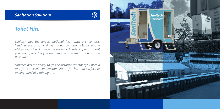

### *Toilet Hire*

*Sanitech has the largest national fleet, with over 25 000 'ready-to-use' units available through 21 national branches and African branches. Sanitech has the widest variety of units to suit your needs, whether you need an executive unit or a basic non flush unit.* 

*Sanitech has the ability to 'go the distance', whether you need a unit for an event, construction site or for both on surface or underground at a mining site.* 

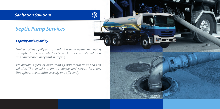## *Septic Pump Services*

### *Capacity and Capability.*

*Sanitech offers a full pump out solution, servicing and managing all septic tanks, portable toilets, pit latrines, mobile ablution units and conservancy tank pumping.* 

 $\mathfrak S$ 

*We operate a fleet of more than 25 000 rental units and 220 vehicles. This enables them to supply and service locations throughout the country, speedily and efficiently.*

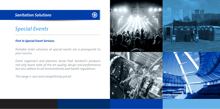

## *Special Events*

### *First in Special Event Services.*

*Portable toilet solutions at special events are a prerequisite to your success.*

*Event organisers and planners know that Sanitech's products not only boast state of the art quality, design and performance but also adhere to all environmental and health regulations.* 

*The range is vast and competitively priced.*

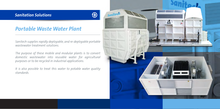### *Portable Waste Water Plant*

*Sanitech supplies rapidly deployable, and re-deployable portable wastewater treatment solutions.* 

 $\bigoplus$ 

*The purpose of these mobile and modular plants is to convert domestic wastewater into reusable water for agricultural purposes or to be recycled in industrial applications.* 

*It is also possible to treat this water to potable water quality standards.* 

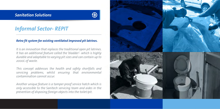

## *Informal Sector- REPIT*

### *Retro fit system for existing ventilated improved pit latrines.*

*It is an innovation that replaces the traditional open pit latrines. It has an additional feature called the 'bladder'- which is highly durable and adaptable to varying pit sizes and can contain up to 2000L of waste.* 

*This concept addresses the health and safety shortfalls and servicing problems, whilst ensuring that environmental contamination cannot occur.* 

*Another unique feature is a tamper proof service hatch which is only accessible to the Sanitech servicing team and aides in the prevention of disposing foreign objects into the toilet/pit.*

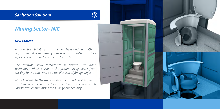## *Mining Sector- NIC*

#### *New Concept.*

*A portable toilet unit that is freestanding with a self-contained water supply which operates without cables, pipes or connections to water or electricity.* 

*The rotating bowl mechanism is coated with nano technology which assists in the prevention of debris from sticking to the bowl and also the disposal of foreign objects.* 

*More hygienic to the users, environment and servicing team as there is no exposure to waste due to the removable canister which minimises the spillage opportunity.*

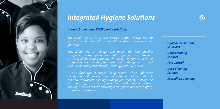

#### *Allow US to manage YOUR service solutions.*

*The benefit of an integrated service solution allows you to select Sanitech as the sole provider of key outsourced solutions on your site.* 

*This allows us to manage and render the best possible site, and allows your company the benefit of control over the usage of service providers, thus enhancing management control and standardising costs thereby ensuring financial control.* 

*It also facilitates a single billing system which effectively incorporates all services onto one statement of account. The existing staff on site conduct your soft services reduces security risks and ensures servicing is completed and signed off by on-site management.* 

- *Hygiene Washroom Solutions*
- *Daily Cleaning Services*
- *Pest Control*
- **Deep Cleaning**  *Services*
- *Specialised Cleaning*

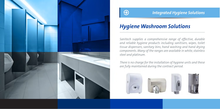

## $\bigcirc$

### *Integrated Hygiene Solutions*

## *Hygiene Washroom Solutions*

*Sanitech supplies a comprehensive range of effective, durable and reliable hygiene products including sanitisers, wipes, toilet tissue dispensers, sanitary bins, hand washing and hand drying components. Many of the ranges are available in white, stainless steel and platinum.*

*There is no charge for the installation of hygiene units and these are fully maintained during the contract period.* 

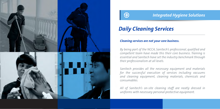



## *Daily Cleaning Services*

### *Cleaning services are not your core business.*

*By being part of the NCCA, Sanitech's professional, qualified and competent team have made this their core business. Training is essential and Sanitech have set the industry benchmark through their professionalism at all levels.*

*Sanitech provides all the necessary equipment and materials for the successful execution of services including vacuums and cleaning equipment, cleaning materials, chemicals and consumables.*

*All of Sanitech's on-site cleaning staff are neatly dressed in uniforms with necessary personal protective equipment.*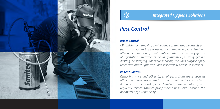



## *Pest Control*

### *Insect Control:*

*Minimising or removing a wide range of undesirable insects and pests on a regular basis is necessary at any work place. Sanitech offer a combination of treatments in order to effectively get rid of infestations. Treatments include fumigation, misting, gelling, dusting or spraying. Monthly servicing includes surface spray repellents, insect light traps and insecticidal aerosol dispensers.*

#### *Rodent Control:*

*Removing mice and other types of pests from areas such as offices, garbage areas and canteens will reduce structural damage to the work place. Sanitech also maintains, and regularly service, tamper proof rodent bait boxes around the perimeter of your property.*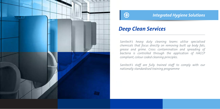



## *Deep Clean Services*

*Sanitech's heavy duty cleaning teams utilise specialised chemicals that focus directly on removing built up body fats, grease and grime. Cross contamination and spreading of bacteria is controlled through the application of HACCP compliant, colour coded cleaning principles.*

*Sanitech's staff are fully trained staff to comply with our nationally standardised training programme*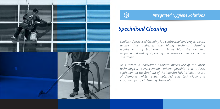



## *Specialised Cleaning*

*Sanitech Specialised Cleaning is a contractual and project based service that addresses the highly technical cleaning requirements of businesses such as high rise cleaning, stripping and sealing of flooring and carpet cleaning extraction and drying.*

*As a leader in innovation, Sanitech makes use of the latest technological advancements where possible and utilises equipment at the forefront of the industry. This includes the use of diamond twister pads, water-fed pole technology and eco-friendly carpet cleaning chemicals.*